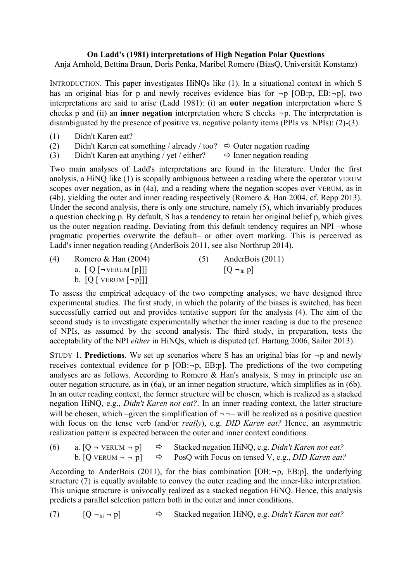## **On Ladd's (1981) interpretations of High Negation Polar Questions**

Anja Arnhold, Bettina Braun, Doris Penka, Maribel Romero (BiasQ, Universität Konstanz)

INTRODUCTION. This paper investigates HiNQs like (1). In a situational context in which S has an original bias for p and newly receives evidence bias for  $\neg p$  [OB:p, EB: $\neg p$ ], two interpretations are said to arise (Ladd 1981): (i) an **outer negation** interpretation where S checks p and (ii) an **inner negation** interpretation where S checks ¬p. The interpretation is disambiguated by the presence of positive vs. negative polarity items (PPIs vs. NPIs): (2)-(3).

- (1) Didn't Karen eat?
- (2) Didn't Karen eat something / already / too?  $\Rightarrow$  Outer negation reading
- (3) Didn't Karen eat anything / yet / either?  $\Rightarrow$  Inner negation reading

Two main analyses of Ladd's interpretations are found in the literature. Under the first analysis, a HiNQ like (1) is scopally ambiguous between a reading where the operator VERUM scopes over negation, as in (4a), and a reading where the negation scopes over VERUM, as in (4b), yielding the outer and inner reading respectively (Romero & Han 2004, cf. Repp 2013). Under the second analysis, there is only one structure, namely (5), which invariably produces a question checking p. By default, S has a tendency to retain her original belief p, which gives us the outer negation reading. Deviating from this default tendency requires an NPI –whose pragmatic properties overwrite the default– or other overt marking. This is perceived as Ladd's inner negation reading (AnderBois 2011, see also Northrup 2014).

| (4) | Romero & Han $(2004)$                               | AnderBois (2011) |  |
|-----|-----------------------------------------------------|------------------|--|
|     | a. $\left[ Q \right[ \neg$ VERUM $\left[ p \right]$ | $ Q -_{hi} p $   |  |
|     | b. $[Q$ [ VERUM $[\neg p]]$ ]                       |                  |  |

To assess the empirical adequacy of the two competing analyses, we have designed three experimental studies. The first study, in which the polarity of the biases is switched, has been successfully carried out and provides tentative support for the analysis (4). The aim of the second study is to investigate experimentally whether the inner reading is due to the presence of NPIs, as assumed by the second analysis. The third study, in preparation, tests the acceptability of the NPI *either* in HiNQs, which is disputed (cf. Hartung 2006, Sailor 2013).

STUDY 1. **Predictions**. We set up scenarios where S has an original bias for  $\neg p$  and newly receives contextual evidence for  $p$  [OB: $\neg p$ , EB:p]. The predictions of the two competing analyses are as follows. According to Romero & Han's analysis, S may in principle use an outer negation structure, as in (6a), or an inner negation structure, which simplifies as in (6b). In an outer reading context, the former structure will be chosen, which is realized as a stacked negation HiNQ, e.g., *Didn't Karen not eat?*. In an inner reading context, the latter structure will be chosen, which –given the simplification of  $\neg$  – will be realized as a positive question with focus on the tense verb (and/or *really*), e.g. *DID Karen eat?* Hence, an asymmetric realization pattern is expected between the outer and inner context conditions.

| (6) | a. $[Q - VERUM - p]$ $\Rightarrow$ | Stacked negation HiNQ, e.g. Didn't Karen not eat?                                                   |  |
|-----|------------------------------------|-----------------------------------------------------------------------------------------------------|--|
|     |                                    | b. [Q VERUM $\neg$ $\neg$ p] $\Rightarrow$ PosQ with Focus on tensed V, e.g., <i>DID Karen eat?</i> |  |

According to AnderBois (2011), for the bias combination  $[OB: \neg p, EB:p]$ , the underlying structure (7) is equally available to convey the outer reading and the inner-like interpretation. This unique structure is univocally realized as a stacked negation HiNQ. Hence, this analysis predicts a parallel selection pattern both in the outer and inner conditions.

(7) [Q ¬hi ¬ p] Stacked negation HiNQ, e.g. *Didn't Karen not eat?*